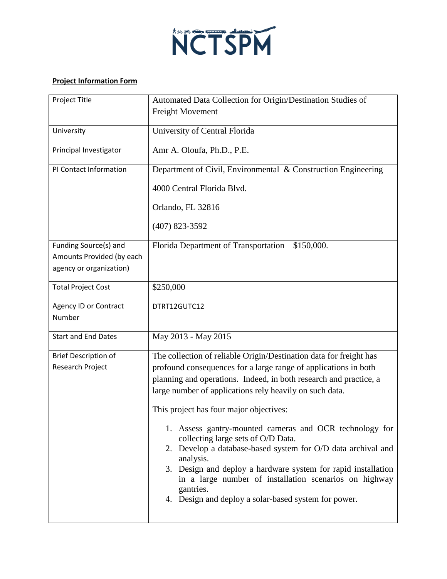

## **Project Information Form**

| Project Title                                                                 | Automated Data Collection for Origin/Destination Studies of                                                                                                                                                                                                                                                                                                                                                                                                                                                                                                                                                                                                                                    |
|-------------------------------------------------------------------------------|------------------------------------------------------------------------------------------------------------------------------------------------------------------------------------------------------------------------------------------------------------------------------------------------------------------------------------------------------------------------------------------------------------------------------------------------------------------------------------------------------------------------------------------------------------------------------------------------------------------------------------------------------------------------------------------------|
|                                                                               | Freight Movement                                                                                                                                                                                                                                                                                                                                                                                                                                                                                                                                                                                                                                                                               |
| University                                                                    | University of Central Florida                                                                                                                                                                                                                                                                                                                                                                                                                                                                                                                                                                                                                                                                  |
| Principal Investigator                                                        | Amr A. Oloufa, Ph.D., P.E.                                                                                                                                                                                                                                                                                                                                                                                                                                                                                                                                                                                                                                                                     |
| PI Contact Information                                                        | Department of Civil, Environmental & Construction Engineering                                                                                                                                                                                                                                                                                                                                                                                                                                                                                                                                                                                                                                  |
|                                                                               | 4000 Central Florida Blvd.                                                                                                                                                                                                                                                                                                                                                                                                                                                                                                                                                                                                                                                                     |
|                                                                               | Orlando, FL 32816                                                                                                                                                                                                                                                                                                                                                                                                                                                                                                                                                                                                                                                                              |
|                                                                               | $(407)$ 823-3592                                                                                                                                                                                                                                                                                                                                                                                                                                                                                                                                                                                                                                                                               |
| Funding Source(s) and<br>Amounts Provided (by each<br>agency or organization) | Florida Department of Transportation<br>\$150,000.                                                                                                                                                                                                                                                                                                                                                                                                                                                                                                                                                                                                                                             |
| <b>Total Project Cost</b>                                                     | \$250,000                                                                                                                                                                                                                                                                                                                                                                                                                                                                                                                                                                                                                                                                                      |
| Agency ID or Contract<br>Number                                               | DTRT12GUTC12                                                                                                                                                                                                                                                                                                                                                                                                                                                                                                                                                                                                                                                                                   |
| <b>Start and End Dates</b>                                                    | May 2013 - May 2015                                                                                                                                                                                                                                                                                                                                                                                                                                                                                                                                                                                                                                                                            |
| <b>Brief Description of</b><br>Research Project                               | The collection of reliable Origin/Destination data for freight has<br>profound consequences for a large range of applications in both<br>planning and operations. Indeed, in both research and practice, a<br>large number of applications rely heavily on such data.<br>This project has four major objectives:<br>1. Assess gantry-mounted cameras and OCR technology for<br>collecting large sets of O/D Data.<br>2. Develop a database-based system for O/D data archival and<br>analysis.<br>3. Design and deploy a hardware system for rapid installation<br>in a large number of installation scenarios on highway<br>gantries.<br>4. Design and deploy a solar-based system for power. |